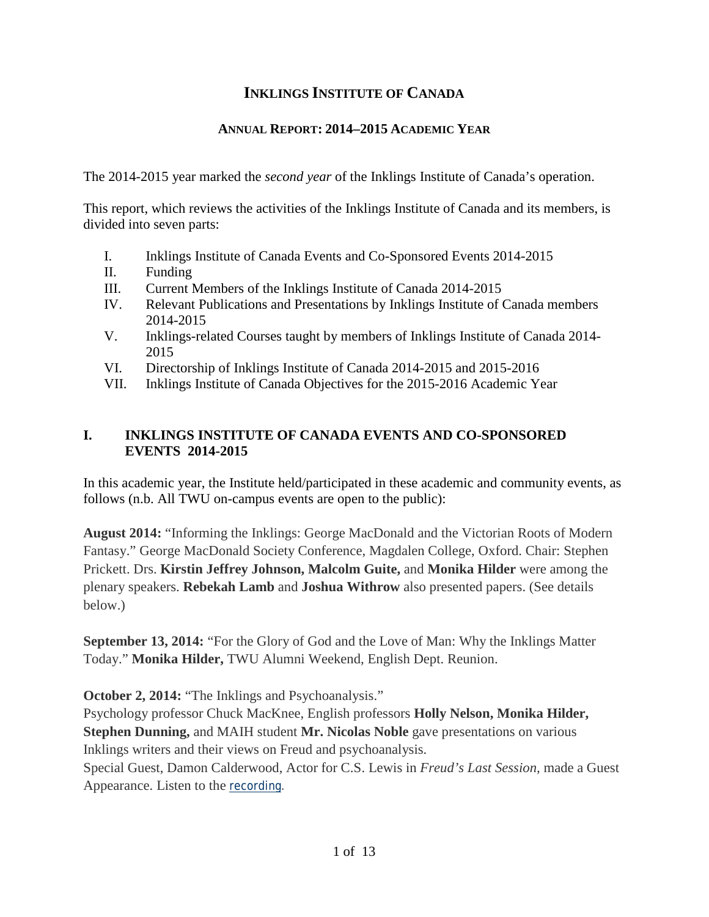# **INKLINGS INSTITUTE OF CANADA**

## **ANNUAL REPORT: 2014–2015 ACADEMIC YEAR**

The 2014-2015 year marked the *second year* of the Inklings Institute of Canada's operation.

This report, which reviews the activities of the Inklings Institute of Canada and its members, is divided into seven parts:

- I. Inklings Institute of Canada Events and Co-Sponsored Events 2014-2015
- II. Funding
- III. Current Members of the Inklings Institute of Canada 2014-2015
- IV. Relevant Publications and Presentations by Inklings Institute of Canada members 2014-2015
- V. Inklings-related Courses taught by members of Inklings Institute of Canada 2014- 2015
- VI. Directorship of Inklings Institute of Canada 2014-2015 and 2015-2016
- VII. Inklings Institute of Canada Objectives for the 2015-2016 Academic Year

## **I. INKLINGS INSTITUTE OF CANADA EVENTS AND CO-SPONSORED EVENTS 2014-2015**

In this academic year, the Institute held/participated in these academic and community events, as follows (n.b. All TWU on-campus events are open to the public):

**August 2014:** "Informing the Inklings: George MacDonald and the Victorian Roots of Modern Fantasy." George MacDonald Society Conference, Magdalen College, Oxford. Chair: Stephen Prickett. Drs. **Kirstin Jeffrey Johnson, Malcolm Guite,** and **Monika Hilder** were among the plenary speakers. **Rebekah Lamb** and **Joshua Withrow** also presented papers. (See details below.)

**September 13, 2014:** "For the Glory of God and the Love of Man: Why the Inklings Matter Today." **Monika Hilder,** TWU Alumni Weekend, English Dept. Reunion.

**October 2, 2014:** "The Inklings and Psychoanalysis."

Psychology professor Chuck MacKnee, English professors **Holly Nelson, Monika Hilder, Stephen Dunning,** and MAIH student **Mr. Nicolas Noble** gave presentations on various Inklings writers and their views on Freud and psychoanalysis.

Special Guest, Damon Calderwood, Actor for C.S. Lewis in *Freud's Last Session,* made a Guest Appearance. Listen to the [recording.](https://www.twu.ca/media/research/inklings-and-psychoanalysis.mp3)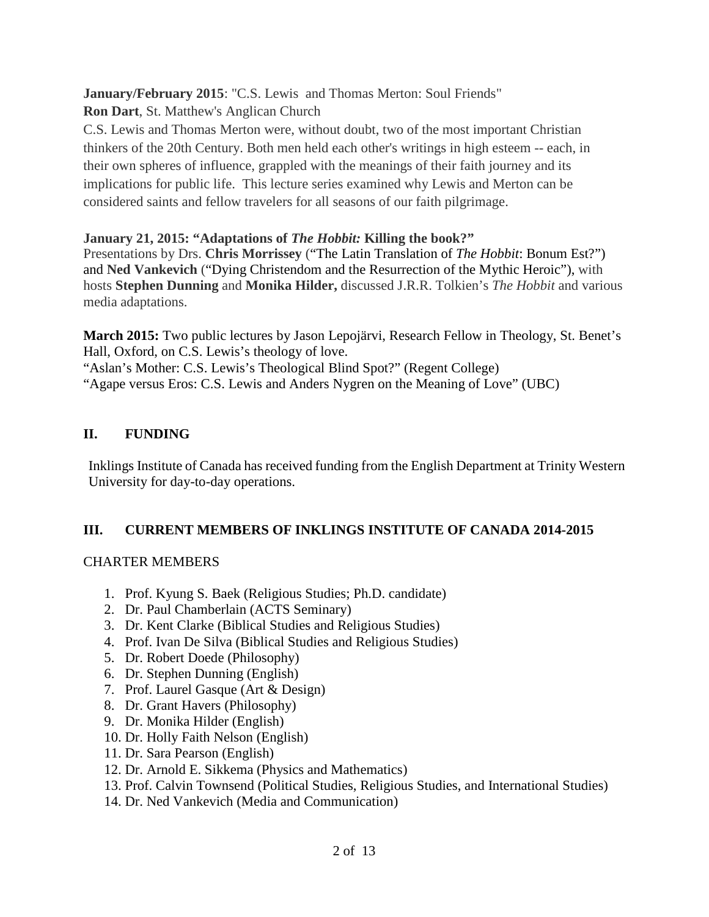**January/February 2015**: "C.S. Lewis and Thomas Merton: Soul Friends"

**Ron Dart**, St. Matthew's Anglican Church

C.S. Lewis and Thomas Merton were, without doubt, two of the most important Christian thinkers of the 20th Century. Both men held each other's writings in high esteem -- each, in their own spheres of influence, grappled with the meanings of their faith journey and its implications for public life. This lecture series examined why Lewis and Merton can be considered saints and fellow travelers for all seasons of our faith pilgrimage.

## **January 21, 2015: "Adaptations of** *The Hobbit:* **Killing the book?"**

Presentations by Drs. **Chris Morrissey** ("The Latin Translation of *The Hobbit*: Bonum Est?") and **Ned Vankevich** ("Dying Christendom and the Resurrection of the Mythic Heroic"), with hosts **Stephen Dunning** and **Monika Hilder,** discussed J.R.R. Tolkien's *The Hobbit* and various media adaptations.

**March 2015:** Two public lectures by Jason Lepojärvi, Research Fellow in Theology, St. Benet's Hall, Oxford, on C.S. Lewis's theology of love.

"Aslan's Mother: C.S. Lewis's Theological Blind Spot?" (Regent College) "Agape versus Eros: C.S. Lewis and Anders Nygren on the Meaning of Love" (UBC)

## **II. FUNDING**

Inklings Institute of Canada has received funding from the English Department at Trinity Western University for day-to-day operations.

#### **III. CURRENT MEMBERS OF INKLINGS INSTITUTE OF CANADA 2014-2015**

#### CHARTER MEMBERS

- 1. Prof. Kyung S. Baek (Religious Studies; Ph.D. candidate)
- 2. Dr. Paul Chamberlain (ACTS Seminary)
- 3. Dr. Kent Clarke (Biblical Studies and Religious Studies)
- 4. Prof. Ivan De Silva (Biblical Studies and Religious Studies)
- 5. Dr. Robert Doede (Philosophy)
- 6. Dr. Stephen Dunning (English)
- 7. Prof. Laurel Gasque (Art & Design)
- 8. Dr. Grant Havers (Philosophy)
- 9. Dr. Monika Hilder (English)
- 10. Dr. Holly Faith Nelson (English)
- 11. Dr. Sara Pearson (English)
- 12. Dr. Arnold E. Sikkema (Physics and Mathematics)
- 13. Prof. Calvin Townsend (Political Studies, Religious Studies, and International Studies)
- 14. Dr. Ned Vankevich (Media and Communication)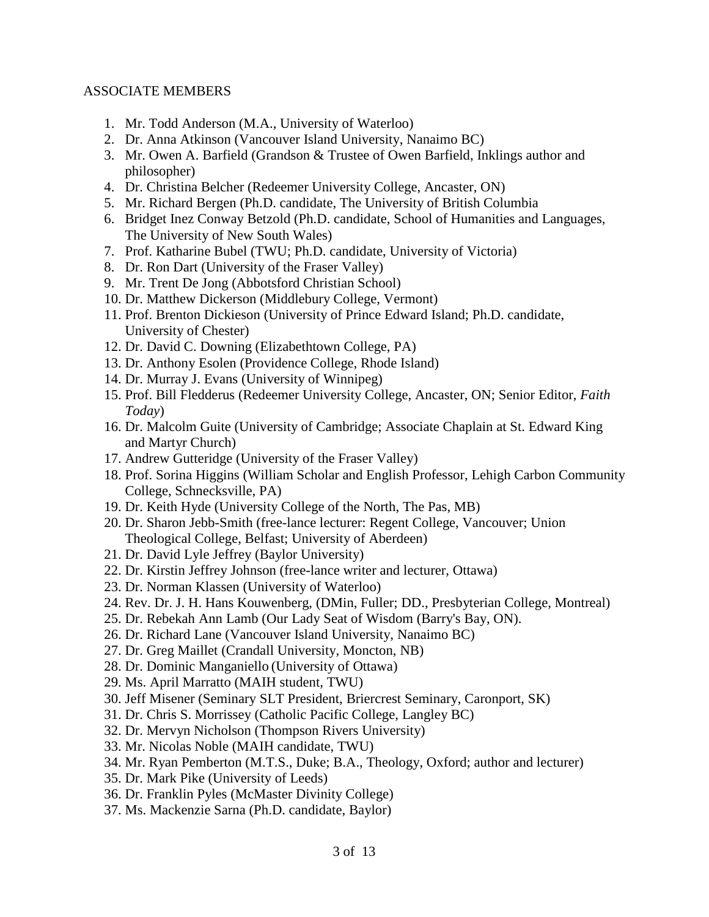#### ASSOCIATE MEMBERS

- 1. Mr. Todd Anderson (M.A., University of Waterloo)
- 2. Dr. Anna Atkinson (Vancouver Island University, Nanaimo BC)
- 3. Mr. Owen A. Barfield (Grandson & Trustee of Owen Barfield, Inklings author and philosopher)
- 4. Dr. Christina Belcher (Redeemer University College, Ancaster, ON)
- 5. Mr. Richard Bergen (Ph.D. candidate, The University of British Columbia
- 6. Bridget Inez Conway Betzold (Ph.D. candidate, School of Humanities and Languages, The University of New South Wales)
- 7. Prof. Katharine Bubel (TWU; Ph.D. candidate, University of Victoria)
- 8. Dr. Ron Dart (University of the Fraser Valley)
- 9. Mr. Trent De Jong (Abbotsford Christian School)
- 10. Dr. Matthew Dickerson (Middlebury College, Vermont)
- 11. Prof. Brenton Dickieson (University of Prince Edward Island; Ph.D. candidate, University of Chester)
- 12. Dr. David C. Downing (Elizabethtown College, PA)
- 13. Dr. Anthony Esolen (Providence College, Rhode Island)
- 14. Dr. Murray J. Evans (University of Winnipeg)
- 15. Prof. Bill Fledderus (Redeemer University College, Ancaster, ON; Senior Editor, *Faith Today*)
- 16. Dr. Malcolm Guite (University of Cambridge; Associate Chaplain at St. Edward King and Martyr Church)
- 17. Andrew Gutteridge (University of the Fraser Valley)
- 18. Prof. Sorina Higgins (William Scholar and English Professor, Lehigh Carbon Community College, Schnecksville, PA)
- 19. Dr. Keith Hyde (University College of the North, The Pas, MB)
- 20. Dr. Sharon Jebb-Smith (free-lance lecturer: Regent College, Vancouver; Union Theological College, Belfast; University of Aberdeen)
- 21. Dr. David Lyle Jeffrey (Baylor University)
- 22. Dr. Kirstin Jeffrey Johnson (free-lance writer and lecturer, Ottawa)
- 23. Dr. Norman Klassen (University of Waterloo)
- 24. Rev. Dr. J. H. Hans Kouwenberg, (DMin, Fuller; DD., Presbyterian College, Montreal)
- 25. Dr. Rebekah Ann Lamb (Our Lady Seat of Wisdom (Barry's Bay, ON).
- 26. Dr. Richard Lane (Vancouver Island University, Nanaimo BC)
- 27. Dr. Greg Maillet (Crandall University, Moncton, NB)
- 28. Dr. Dominic Manganiello (University of Ottawa)
- 29. Ms. April Marratto (MAIH student, TWU)
- 30. Jeff Misener (Seminary SLT President, Briercrest Seminary, Caronport, SK)
- 31. Dr. Chris S. Morrissey (Catholic Pacific College, Langley BC)
- 32. Dr. Mervyn Nicholson (Thompson Rivers University)
- 33. Mr. Nicolas Noble (MAIH candidate, TWU)
- 34. Mr. Ryan Pemberton (M.T.S., Duke; B.A., Theology, Oxford; author and lecturer)
- 35. Dr. Mark Pike (University of Leeds)
- 36. Dr. Franklin Pyles (McMaster Divinity College)
- 37. Ms. Mackenzie Sarna (Ph.D. candidate, Baylor)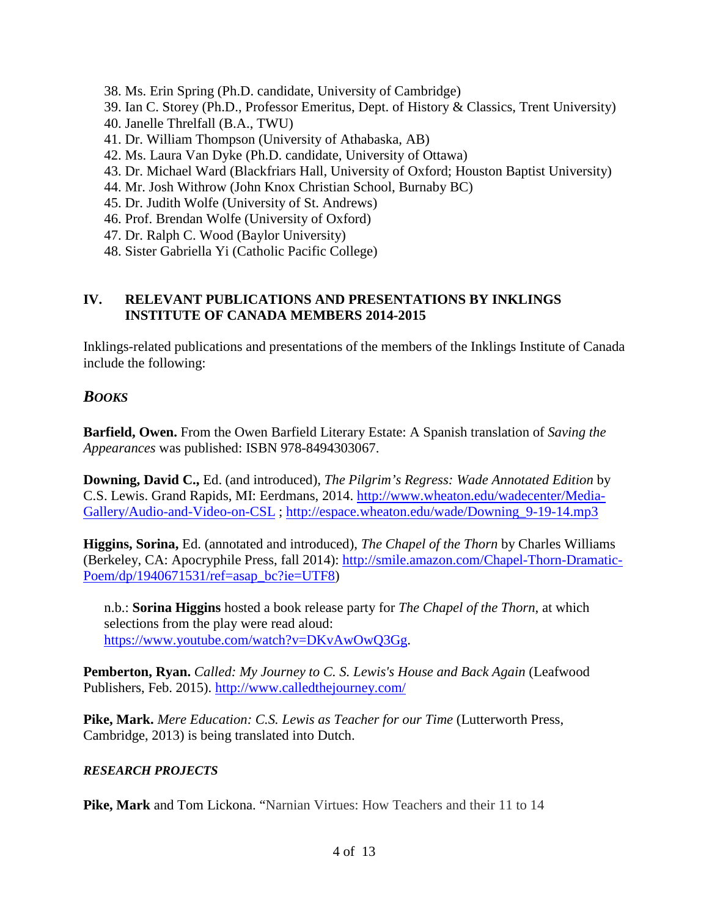- 38. Ms. Erin Spring (Ph.D. candidate, University of Cambridge)
- 39. Ian C. Storey (Ph.D., Professor Emeritus, Dept. of History & Classics, Trent University)
- 40. Janelle Threlfall (B.A., TWU)
- 41. Dr. William Thompson (University of Athabaska, AB)
- 42. Ms. Laura Van Dyke (Ph.D. candidate, University of Ottawa)
- 43. Dr. Michael Ward (Blackfriars Hall, University of Oxford; Houston Baptist University)
- 44. Mr. Josh Withrow (John Knox Christian School, Burnaby BC)
- 45. Dr. Judith Wolfe (University of St. Andrews)
- 46. Prof. Brendan Wolfe (University of Oxford)
- 47. Dr. Ralph C. Wood (Baylor University)
- 48. Sister Gabriella Yi (Catholic Pacific College)

#### **IV. RELEVANT PUBLICATIONS AND PRESENTATIONS BY INKLINGS INSTITUTE OF CANADA MEMBERS 2014-2015**

Inklings-related publications and presentations of the members of the Inklings Institute of Canada include the following:

# *BOOKS*

**Barfield, Owen.** From the Owen Barfield Literary Estate: A Spanish translation of *Saving the Appearances* was published: ISBN 978-8494303067.

**Downing, David C.,** Ed. (and introduced), *The Pilgrim's Regress: Wade Annotated Edition* by C.S. Lewis. Grand Rapids, MI: Eerdmans, 2014. [http://www.wheaton.edu/wadecenter/Media-](http://www.wheaton.edu/wadecenter/Media-Gallery/Audio-and-Video-on-CSL)[Gallery/Audio-and-Video-on-CSL](http://www.wheaton.edu/wadecenter/Media-Gallery/Audio-and-Video-on-CSL) ; [http://espace.wheaton.edu/wade/Downing\\_9-19-14.mp3](http://espace.wheaton.edu/wade/Downing_9-19-14.mp3)

**Higgins, Sorina,** Ed. (annotated and introduced), *The Chapel of the Thorn* by Charles Williams (Berkeley, CA: Apocryphile Press, fall 2014): [http://smile.amazon.com/Chapel-Thorn-Dramatic-](http://smile.amazon.com/Chapel-Thorn-Dramatic-Poem/dp/1940671531/ref=asap_bc?ie=UTF8)[Poem/dp/1940671531/ref=asap\\_bc?ie=UTF8\)](http://smile.amazon.com/Chapel-Thorn-Dramatic-Poem/dp/1940671531/ref=asap_bc?ie=UTF8)

n.b.: **Sorina Higgins** hosted a book release party for *The Chapel of the Thorn*, at which selections from the play were read aloud: [https://www.youtube.com/watch?v=DKvAwOwQ3Gg.](https://www.youtube.com/watch?v=DKvAwOwQ3Gg)

**Pemberton, Ryan.** *Called: My Journey to C. S. Lewis's House and Back Again* (Leafwood Publishers, Feb. 2015). <http://www.calledthejourney.com/>

**Pike, Mark.** *Mere Education: C.S. Lewis as Teacher for our Time* (Lutterworth Press, Cambridge, 2013) is being translated into Dutch.

#### *RESEARCH PROJECTS*

**Pike, Mark** and Tom Lickona. "Narnian Virtues: How Teachers and their 11 to 14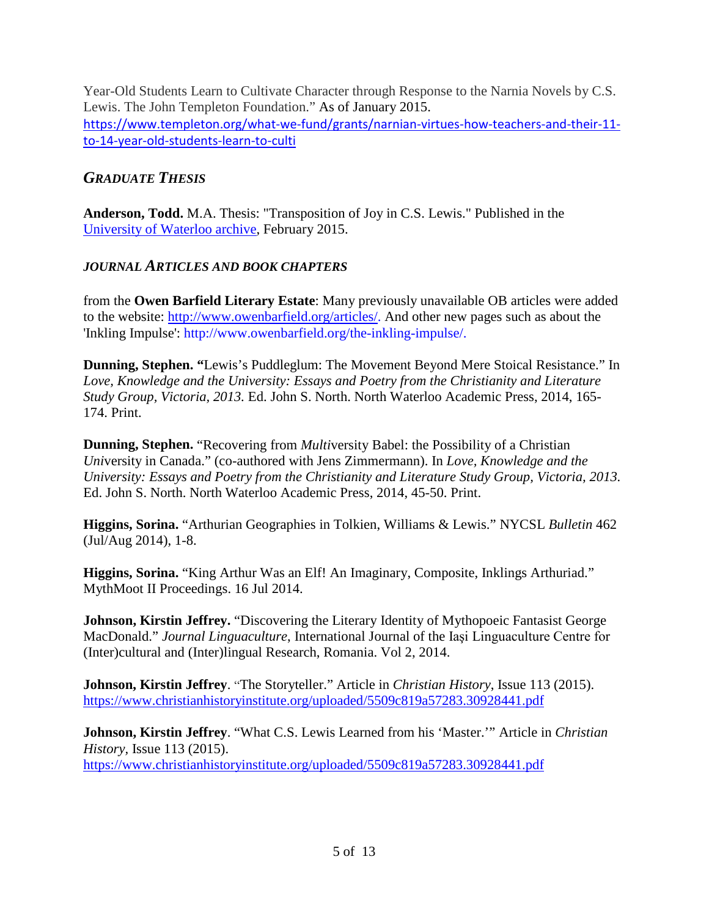Year-Old Students Learn to Cultivate Character through Response to the Narnia Novels by C.S. Lewis. The John Templeton Foundation." As of January 2015. [https://www.templeton.org/what-we-fund/grants/narnian-virtues-how-teachers-and-their-11](https://www.templeton.org/what-we-fund/grants/narnian-virtues-how-teachers-and-their-11-to-14-year-old-students-learn-to-culti) [to-14-year-old-students-learn-to-culti](https://www.templeton.org/what-we-fund/grants/narnian-virtues-how-teachers-and-their-11-to-14-year-old-students-learn-to-culti)

# *GRADUATE THESIS*

**Anderson, Todd.** M.A. Thesis: "Transposition of Joy in C.S. Lewis." Published in the University of [Waterloo archive,](https://uwspace.uwaterloo.ca/handle/10012/9164) February 2015.

## *JOURNAL ARTICLES AND BOOK CHAPTERS*

from the **Owen Barfield Literary Estate**: Many previously unavailable OB articles were added to the website: [http://www.owenbarfield.org/articles/.](http://www.owenbarfield.org/articles/) And other new pages such as about the 'Inkling Impulse': http://www.owenbarfield.org/the-inkling-impulse/.

**Dunning, Stephen. "**Lewis's Puddleglum: The Movement Beyond Mere Stoical Resistance." In *Love, Knowledge and the University: Essays and Poetry from the Christianity and Literature Study Group, Victoria, 2013.* Ed. John S. North. North Waterloo Academic Press, 2014, 165- 174. Print.

**Dunning, Stephen.** "Recovering from *Multi*versity Babel: the Possibility of a Christian *Uni*versity in Canada." (co-authored with Jens Zimmermann). In *Love, Knowledge and the University: Essays and Poetry from the Christianity and Literature Study Group, Victoria, 2013.*  Ed. John S. North. North Waterloo Academic Press, 2014, 45-50. Print.

**Higgins, Sorina.** "Arthurian Geographies in Tolkien, Williams & Lewis." NYCSL *Bulletin* 462 (Jul/Aug 2014), 1-8.

**Higgins, Sorina.** "King Arthur Was an Elf! An Imaginary, Composite, Inklings Arthuriad." MythMoot II Proceedings. 16 Jul 2014.

**Johnson, Kirstin Jeffrey.** "Discovering the Literary Identity of Mythopoeic Fantasist George MacDonald." *Journal Linguaculture*, International Journal of the Iaşi Linguaculture Centre for (Inter)cultural and (Inter)lingual Research, Romania. Vol 2, 2014.

**Johnson, Kirstin Jeffrey**. "The Storyteller." Article in *Christian History*, Issue 113 (2015). <https://www.christianhistoryinstitute.org/uploaded/5509c819a57283.30928441.pdf>

**Johnson, Kirstin Jeffrey**. "What C.S. Lewis Learned from his 'Master.'" Article in *Christian History,* Issue 113 (2015). <https://www.christianhistoryinstitute.org/uploaded/5509c819a57283.30928441.pdf>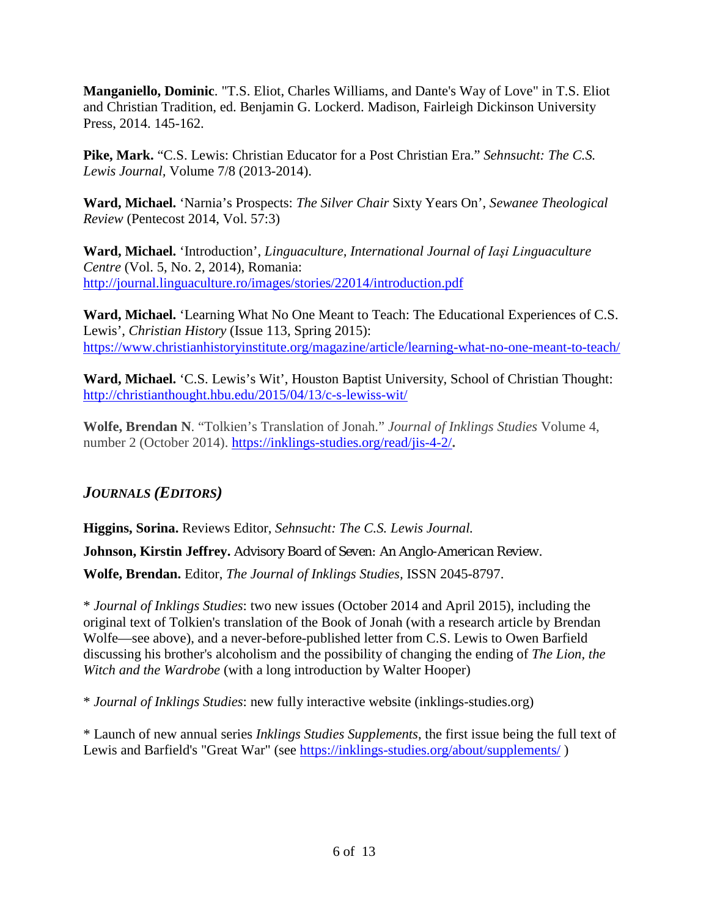**Manganiello, Dominic**. "T.S. Eliot, Charles Williams, and Dante's Way of Love" in T.S. Eliot and Christian Tradition, ed. Benjamin G. Lockerd. Madison, Fairleigh Dickinson University Press, 2014. 145-162.

**Pike, Mark.** "C.S. Lewis: Christian Educator for a Post Christian Era." *Sehnsucht: The C.S. Lewis Journal,* Volume 7/8 (2013-2014).

**Ward, Michael.** 'Narnia's Prospects: *The Silver Chair* Sixty Years On', *Sewanee Theological Review* (Pentecost 2014, Vol. 57:3)

**Ward, Michael.** 'Introduction', *Linguaculture, International Journal of Iaşi Linguaculture Centre* (Vol. 5, No. 2, 2014), Romania: <http://journal.linguaculture.ro/images/stories/22014/introduction.pdf>

**Ward, Michael.** 'Learning What No One Meant to Teach: The Educational Experiences of C.S. Lewis', *Christian History* (Issue 113, Spring 2015): <https://www.christianhistoryinstitute.org/magazine/article/learning-what-no-one-meant-to-teach/>

**Ward, Michael.** 'C.S. Lewis's Wit', Houston Baptist University, School of Christian Thought: <http://christianthought.hbu.edu/2015/04/13/c-s-lewiss-wit/>

**Wolfe, Brendan N**. "Tolkien's Translation of Jonah." *Journal of Inklings Studies* Volume 4, number 2 (October 2014). <https://inklings-studies.org/read/jis-4-2/>**.**

# *JOURNALS (EDITORS)*

**Higgins, Sorina.** Reviews Editor, *Sehnsucht: The C.S. Lewis Journal.*

**Johnson, Kirstin Jeffrey.** Advisory Board of *Seven: An Anglo-American Review.*

**Wolfe, Brendan.** Editor, *The Journal of Inklings Studies,* ISSN 2045-8797.

\* *Journal of Inklings Studies*: two new issues (October 2014 and April 2015), including the original text of Tolkien's translation of the Book of Jonah (with a research article by Brendan Wolfe—see above), and a never-before-published letter from C.S. Lewis to Owen Barfield discussing his brother's alcoholism and the possibility of changing the ending of *The Lion, the Witch and the Wardrobe* (with a long introduction by Walter Hooper)

\* *Journal of Inklings Studies*: new fully interactive website (inklings-studies.org)

\* Launch of new annual series *Inklings Studies Supplements*, the first issue being the full text of Lewis and Barfield's "Great War" (see<https://inklings-studies.org/about/supplements/>)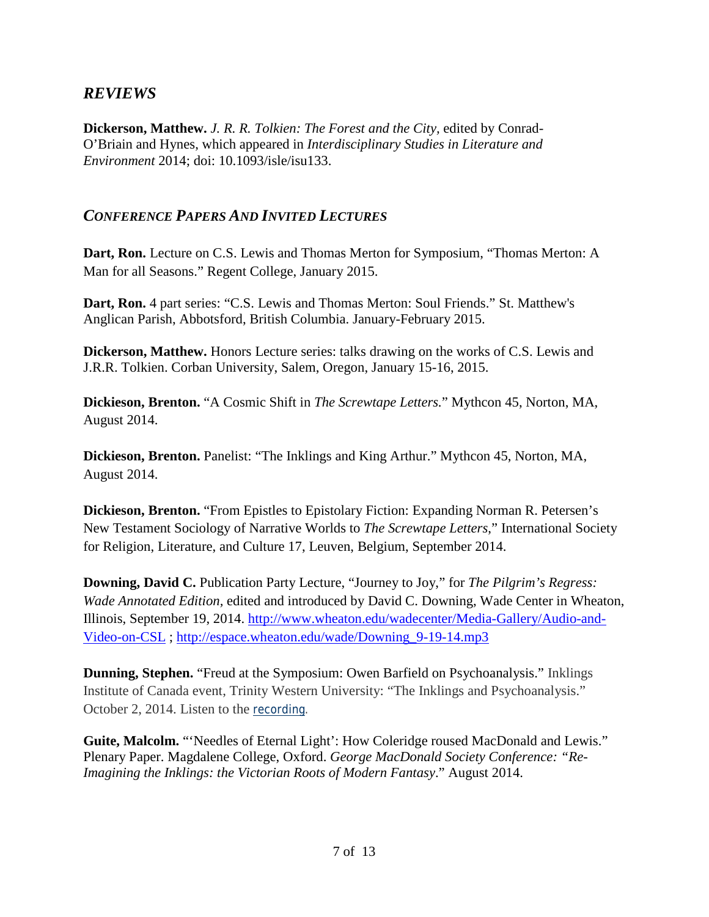# *REVIEWS*

**Dickerson, Matthew.** *J. R. R. Tolkien: The Forest and the City,* edited by Conrad-O'Briain and Hynes, which appeared in *Interdisciplinary Studies in Literature and Environment* 2014; doi: 10.1093/isle/isu133.

## *CONFERENCE PAPERS AND INVITED LECTURES*

**Dart, Ron.** Lecture on C.S. Lewis and Thomas Merton for Symposium, "Thomas Merton: A Man for all Seasons." Regent College, January 2015.

**Dart, Ron.** 4 part series: "C.S. Lewis and Thomas Merton: Soul Friends." St. Matthew's Anglican Parish, Abbotsford, British Columbia. January-February 2015.

**Dickerson, Matthew.** Honors Lecture series: talks drawing on the works of C.S. Lewis and J.R.R. Tolkien. Corban University, Salem, Oregon, January 15-16, 2015.

**Dickieson, Brenton.** "A Cosmic Shift in *The Screwtape Letters.*" Mythcon 45, Norton, MA, August 2014.

**Dickieson, Brenton.** Panelist: "The Inklings and King Arthur." Mythcon 45, Norton, MA, August 2014.

**Dickieson, Brenton.** "From Epistles to Epistolary Fiction: Expanding Norman R. Petersen's New Testament Sociology of Narrative Worlds to *The Screwtape Letters*," International Society for Religion, Literature, and Culture 17, Leuven, Belgium, September 2014.

**Downing, David C.** Publication Party Lecture, "Journey to Joy," for *The Pilgrim's Regress: Wade Annotated Edition,* edited and introduced by David C. Downing, Wade Center in Wheaton, Illinois, September 19, 2014. [http://www.wheaton.edu/wadecenter/Media-Gallery/Audio-and-](http://www.wheaton.edu/wadecenter/Media-Gallery/Audio-and-Video-on-CSL)[Video-on-CSL](http://www.wheaton.edu/wadecenter/Media-Gallery/Audio-and-Video-on-CSL) ; [http://espace.wheaton.edu/wade/Downing\\_9-19-14.mp3](http://espace.wheaton.edu/wade/Downing_9-19-14.mp3)

**Dunning, Stephen.** "Freud at the Symposium: Owen Barfield on Psychoanalysis." Inklings Institute of Canada event, Trinity Western University: "The Inklings and Psychoanalysis." October 2, 2014. Listen to the [recording.](https://www.twu.ca/media/research/inklings-and-psychoanalysis.mp3)

**Guite, Malcolm.** "'Needles of Eternal Light': How Coleridge roused MacDonald and Lewis." Plenary Paper. Magdalene College, Oxford. *George MacDonald Society Conference: "Re-Imagining the Inklings: the Victorian Roots of Modern Fantasy*." August 2014.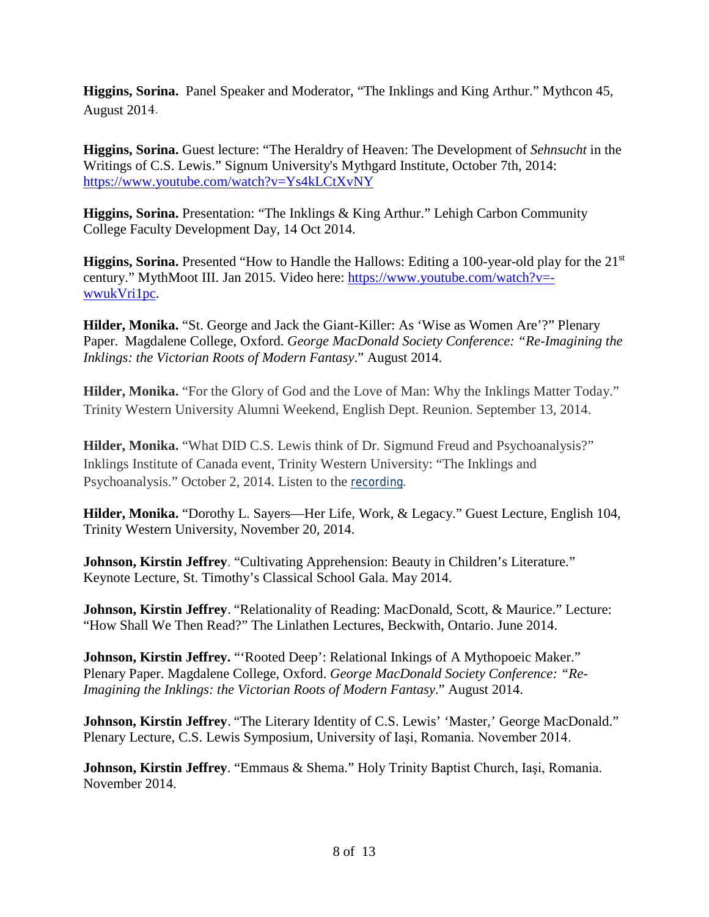**Higgins, Sorina.** Panel Speaker and Moderator, "The Inklings and King Arthur." Mythcon 45, August 2014.

**Higgins, Sorina.** Guest lecture: "The Heraldry of Heaven: The Development of *Sehnsucht* in the Writings of C.S. Lewis." Signum University's Mythgard Institute, October 7th, 2014: <https://www.youtube.com/watch?v=Ys4kLCtXvNY>

**Higgins, Sorina.** Presentation: "The Inklings & King Arthur." Lehigh Carbon Community College Faculty Development Day, 14 Oct 2014.

**Higgins, Sorina.** Presented "How to Handle the Hallows: Editing a 100-year-old play for the 21st century." MythMoot III. Jan 2015. Video here: [https://www.youtube.com/watch?v=](https://www.youtube.com/watch?v=-wwukVri1pc) [wwukVri1pc.](https://www.youtube.com/watch?v=-wwukVri1pc)

**Hilder, Monika.** "St. George and Jack the Giant-Killer: As 'Wise as Women Are'?" Plenary Paper. Magdalene College, Oxford. *George MacDonald Society Conference: "Re-Imagining the Inklings: the Victorian Roots of Modern Fantasy*." August 2014.

**Hilder, Monika.** "For the Glory of God and the Love of Man: Why the Inklings Matter Today." Trinity Western University Alumni Weekend, English Dept. Reunion. September 13, 2014.

**Hilder, Monika.** "What DID C.S. Lewis think of Dr. Sigmund Freud and Psychoanalysis?" Inklings Institute of Canada event, Trinity Western University: "The Inklings and Psychoanalysis." October 2, 2014. Listen to the [recording.](https://www.twu.ca/media/research/inklings-and-psychoanalysis.mp3)

**Hilder, Monika.** "Dorothy L. Sayers—Her Life, Work, & Legacy." Guest Lecture, English 104, Trinity Western University, November 20, 2014.

**Johnson, Kirstin Jeffrey**. "Cultivating Apprehension: Beauty in Children's Literature." Keynote Lecture, St. Timothy's Classical School Gala. May 2014.

**Johnson, Kirstin Jeffrey**. "Relationality of Reading: MacDonald, Scott, & Maurice." Lecture: "How Shall We Then Read?" The Linlathen Lectures, Beckwith, Ontario. June 2014.

**Johnson, Kirstin Jeffrey.** "'Rooted Deep': Relational Inkings of A Mythopoeic Maker." Plenary Paper. Magdalene College, Oxford. *George MacDonald Society Conference: "Re-Imagining the Inklings: the Victorian Roots of Modern Fantasy*." August 2014.

**Johnson, Kirstin Jeffrey**. "The Literary Identity of C.S. Lewis' 'Master,' George MacDonald." Plenary Lecture, C.S. Lewis Symposium, University of Iaşi, Romania. November 2014.

**Johnson, Kirstin Jeffrey**. "Emmaus & Shema." Holy Trinity Baptist Church, Iaşi, Romania. November 2014.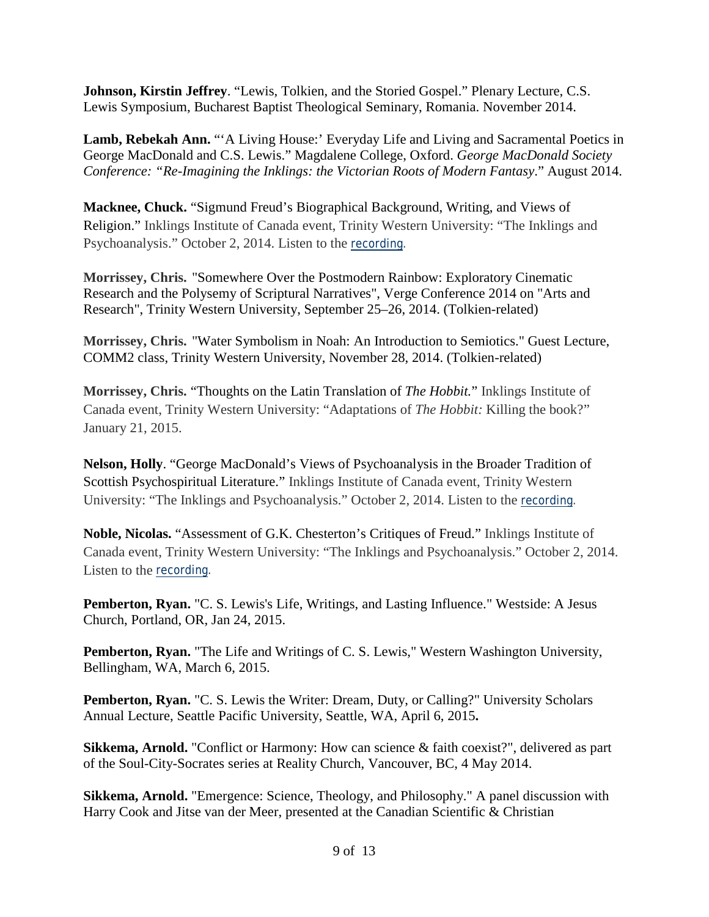**Johnson, Kirstin Jeffrey**. "Lewis, Tolkien, and the Storied Gospel." Plenary Lecture, C.S. Lewis Symposium, Bucharest Baptist Theological Seminary, Romania. November 2014.

Lamb, Rebekah Ann. ""A Living House:' Everyday Life and Living and Sacramental Poetics in George MacDonald and C.S. Lewis." Magdalene College, Oxford. *George MacDonald Society Conference: "Re-Imagining the Inklings: the Victorian Roots of Modern Fantasy*." August 2014.

**Macknee, Chuck.** "Sigmund Freud's Biographical Background, Writing, and Views of Religion." Inklings Institute of Canada event, Trinity Western University: "The Inklings and Psychoanalysis." October 2, 2014. Listen to the [recording.](https://www.twu.ca/media/research/inklings-and-psychoanalysis.mp3)

**Morrissey, Chris.** "Somewhere Over the Postmodern Rainbow: Exploratory Cinematic Research and the Polysemy of Scriptural Narratives", Verge Conference 2014 on "Arts and Research", Trinity Western University, September 25–26, 2014. (Tolkien-related)

**Morrissey, Chris.** "Water Symbolism in Noah: An Introduction to Semiotics." Guest Lecture, COMM2 class, Trinity Western University, November 28, 2014. (Tolkien-related)

**Morrissey, Chris.** "Thoughts on the Latin Translation of *The Hobbit.*" Inklings Institute of Canada event, Trinity Western University: "Adaptations of *The Hobbit:* Killing the book?" January 21, 2015.

**Nelson, Holly**. "George MacDonald's Views of Psychoanalysis in the Broader Tradition of Scottish Psychospiritual Literature." Inklings Institute of Canada event, Trinity Western University: "The Inklings and Psychoanalysis." October 2, 2014. Listen to the [recording.](https://www.twu.ca/media/research/inklings-and-psychoanalysis.mp3)

**Noble, Nicolas.** "Assessment of G.K. Chesterton's Critiques of Freud." Inklings Institute of Canada event, Trinity Western University: "The Inklings and Psychoanalysis." October 2, 2014. Listen to the [recording.](https://www.twu.ca/media/research/inklings-and-psychoanalysis.mp3)

**Pemberton, Ryan.** "C. S. Lewis's Life, Writings, and Lasting Influence." Westside: A Jesus Church, Portland, OR, Jan 24, 2015.

**Pemberton, Ryan.** "The Life and Writings of C. S. Lewis," Western Washington University, Bellingham, WA, March 6, 2015.

**Pemberton, Ryan.** "C. S. Lewis the Writer: Dream, Duty, or Calling?" University Scholars Annual Lecture, Seattle Pacific University, Seattle, WA, April 6, 2015**.**

**Sikkema, Arnold.** "Conflict or Harmony: How can science & faith coexist?", delivered as part of the Soul-City-Socrates series at Reality Church, Vancouver, BC, 4 May 2014.

**Sikkema, Arnold.** "Emergence: Science, Theology, and Philosophy." A panel discussion with Harry Cook and Jitse van der Meer, presented at the Canadian Scientific & Christian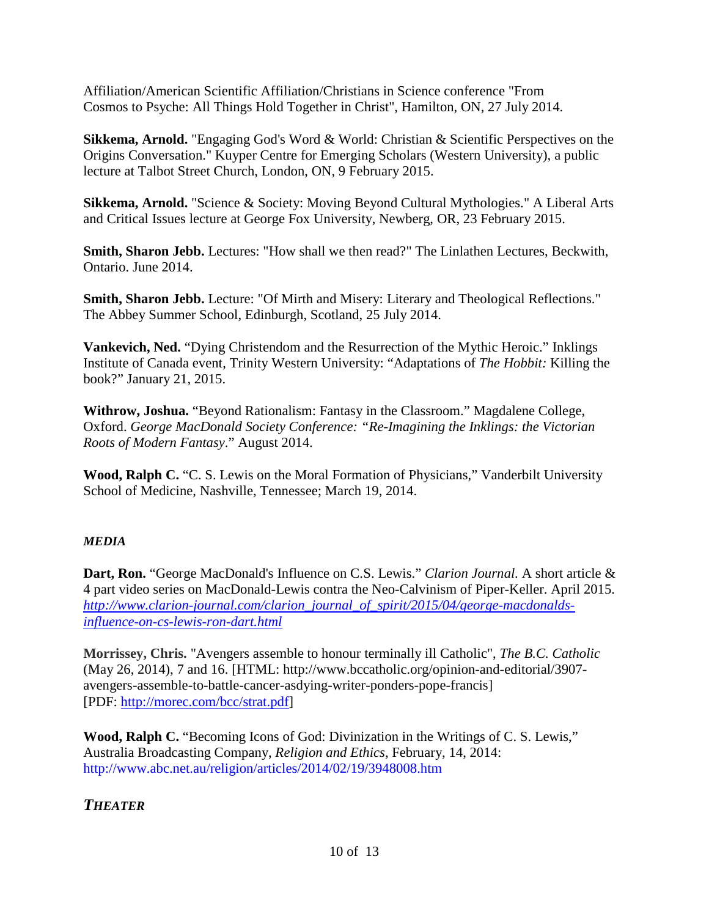Affiliation/American Scientific Affiliation/Christians in Science conference "From Cosmos to Psyche: All Things Hold Together in Christ", Hamilton, ON, 27 July 2014.

**Sikkema, Arnold.** "Engaging God's Word & World: Christian & Scientific Perspectives on the Origins Conversation." Kuyper Centre for Emerging Scholars (Western University), a public lecture at Talbot Street Church, London, ON, 9 February 2015.

**Sikkema, Arnold.** "Science & Society: Moving Beyond Cultural Mythologies." A Liberal Arts and Critical Issues lecture at George Fox University, Newberg, OR, 23 February 2015.

**Smith, Sharon Jebb.** Lectures: "How shall we then read?" The Linlathen Lectures, Beckwith, Ontario. June 2014.

**Smith, Sharon Jebb.** Lecture: "Of Mirth and Misery: Literary and Theological Reflections." The Abbey Summer School, Edinburgh, Scotland, 25 July 2014.

**Vankevich, Ned.** "Dying Christendom and the Resurrection of the Mythic Heroic." Inklings Institute of Canada event, Trinity Western University: "Adaptations of *The Hobbit:* Killing the book?" January 21, 2015.

**Withrow, Joshua.** "Beyond Rationalism: Fantasy in the Classroom." Magdalene College, Oxford. *George MacDonald Society Conference: "Re-Imagining the Inklings: the Victorian Roots of Modern Fantasy*." August 2014.

**Wood, Ralph C.** "C. S. Lewis on the Moral Formation of Physicians," Vanderbilt University School of Medicine, Nashville, Tennessee; March 19, 2014.

## *MEDIA*

**Dart, Ron.** "George MacDonald's Influence on C.S. Lewis." *Clarion Journal.* A short article & 4 part video series on MacDonald-Lewis contra the Neo-Calvinism of Piper-Keller. April 2015. *[http://www.clarion-journal.com/clarion\\_journal\\_of\\_spirit/2015/04/george-macdonalds](http://www.clarion-journal.com/clarion_journal_of_spirit/2015/04/george-macdonalds-influence-on-cs-lewis-ron-dart.html)[influence-on-cs-lewis-ron-dart.html](http://www.clarion-journal.com/clarion_journal_of_spirit/2015/04/george-macdonalds-influence-on-cs-lewis-ron-dart.html)*

**Morrissey, Chris.** "Avengers assemble to honour terminally ill Catholic", *The B.C. Catholic* (May 26, 2014), 7 and 16. [HTML: http://www.bccatholic.org/opinion-and-editorial/3907 avengers-assemble-to-battle-cancer-asdying-writer-ponders-pope-francis] [PDF: [http://morec.com/bcc/strat.pdf\]](http://morec.com/bcc/strat.pdf)

**Wood, Ralph C.** "Becoming Icons of God: Divinization in the Writings of C. S. Lewis," Australia Broadcasting Company, *Religion and Ethics*, February, 14, 2014: http://www.abc.net.au/religion/articles/2014/02/19/3948008.htm

*THEATER*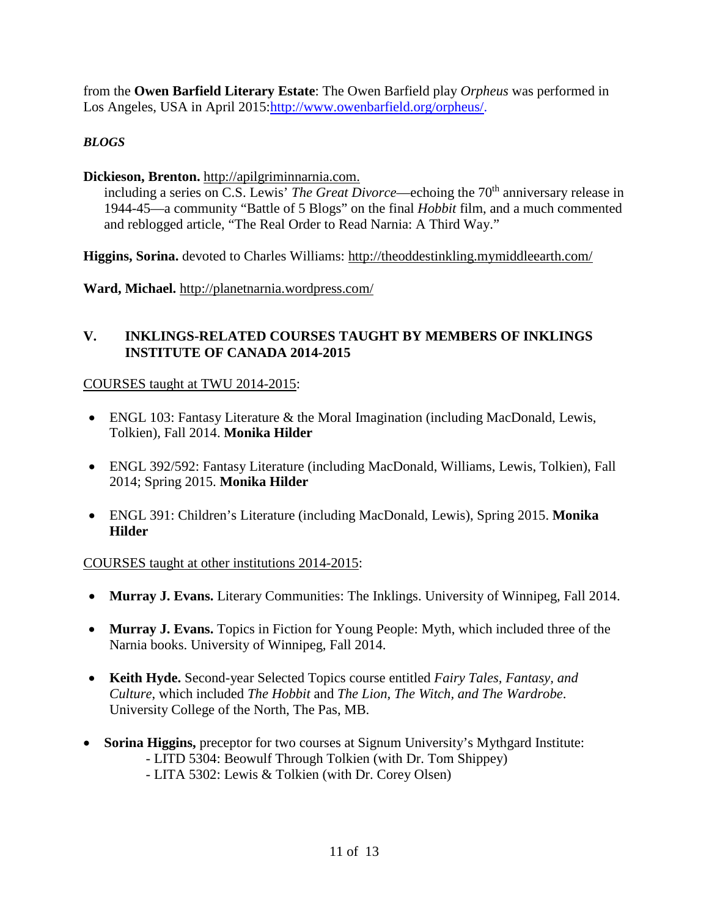from the **Owen Barfield Literary Estate**: The Owen Barfield play *Orpheus* was performed in Los Angeles, USA in April 2015[:http://www.owenbarfield.org/orpheus/.](http://www.owenbarfield.org/orpheus/)

# *BLOGS*

## **Dickieson, Brenton.** [http://apilgriminnarnia.com.](http://apilgriminnarnia.com/)

including a series on C.S. Lewis' *The Great Divorce*—echoing the 70<sup>th</sup> anniversary release in 1944-45—a community "Battle of 5 Blogs" on the final *Hobbit* film, and a much commented and reblogged article, "The Real Order to Read Narnia: A Third Way."

**Higgins, Sorina.** devoted to Charles Williams:<http://theoddestinkling.mymiddleearth.com/>

**Ward, Michael.** <http://planetnarnia.wordpress.com/>

## **V. INKLINGS-RELATED COURSES TAUGHT BY MEMBERS OF INKLINGS INSTITUTE OF CANADA 2014-2015**

COURSES taught at TWU 2014-2015:

- ENGL 103: Fantasy Literature & the Moral Imagination (including MacDonald, Lewis, Tolkien), Fall 2014. **Monika Hilder**
- ENGL 392/592: Fantasy Literature (including MacDonald, Williams, Lewis, Tolkien), Fall 2014; Spring 2015. **Monika Hilder**
- ENGL 391: Children's Literature (including MacDonald, Lewis), Spring 2015. **Monika Hilder**

## COURSES taught at other institutions 2014-2015:

- **Murray J. Evans.** Literary Communities: The Inklings. University of Winnipeg, Fall 2014.
- **Murray J. Evans.** Topics in Fiction for Young People: Myth, which included three of the Narnia books. University of Winnipeg, Fall 2014.
- **Keith Hyde.** Second-year Selected Topics course entitled *Fairy Tales, Fantasy, and Culture*, which included *The Hobbit* and *The Lion, The Witch, and The Wardrobe*. University College of the North, The Pas, MB.
- **Sorina Higgins,** preceptor for two courses at Signum University's Mythgard Institute: - LITD 5304: Beowulf Through Tolkien (with Dr. Tom Shippey) - LITA 5302: Lewis & Tolkien (with Dr. Corey Olsen)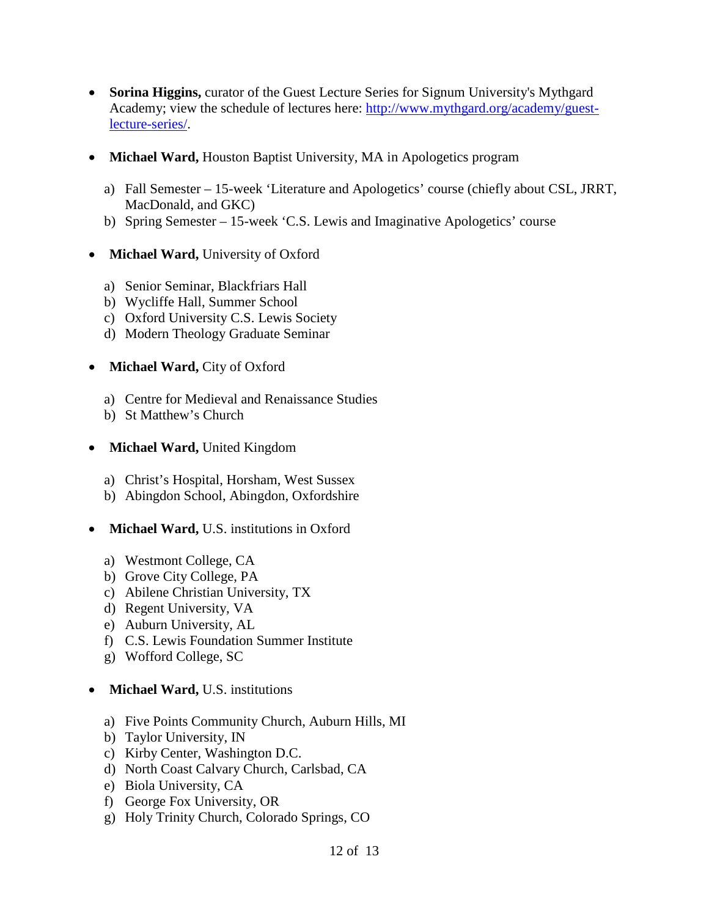- **Sorina Higgins,** curator of the Guest Lecture Series for Signum University's Mythgard Academy; view the schedule of lectures here: [http://www.mythgard.org/academy/guest](http://www.mythgard.org/academy/guest-lecture-series/)[lecture-series/.](http://www.mythgard.org/academy/guest-lecture-series/)
- **Michael Ward, Houston Baptist University, MA in Apologetics program** 
	- a) Fall Semester 15-week 'Literature and Apologetics' course (chiefly about CSL, JRRT, MacDonald, and GKC)
	- b) Spring Semester 15-week 'C.S. Lewis and Imaginative Apologetics' course
- **Michael Ward,** University of Oxford
	- a) Senior Seminar, Blackfriars Hall
	- b) Wycliffe Hall, Summer School
	- c) Oxford University C.S. Lewis Society
	- d) Modern Theology Graduate Seminar
- **Michael Ward, City of Oxford** 
	- a) Centre for Medieval and Renaissance Studies
	- b) St Matthew's Church
- **Michael Ward,** United Kingdom
	- a) Christ's Hospital, Horsham, West Sussex
	- b) Abingdon School, Abingdon, Oxfordshire
- **Michael Ward,** U.S. institutions in Oxford
	- a) Westmont College, CA
	- b) Grove City College, PA
	- c) Abilene Christian University, TX
	- d) Regent University, VA
	- e) Auburn University, AL
	- f) C.S. Lewis Foundation Summer Institute
	- g) Wofford College, SC
- **Michael Ward,** U.S. institutions
	- a) Five Points Community Church, Auburn Hills, MI
	- b) Taylor University, IN
	- c) Kirby Center, Washington D.C.
	- d) North Coast Calvary Church, Carlsbad, CA
	- e) Biola University, CA
	- f) George Fox University, OR
	- g) Holy Trinity Church, Colorado Springs, CO